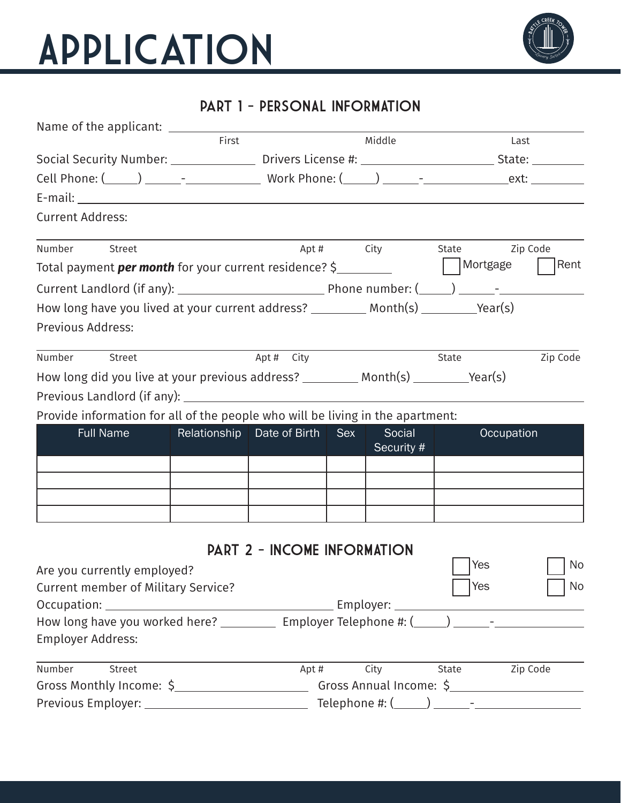

### part 1 - PERSONAL INFORMATION

| Name of the applicant: <u>_____________</u>                                                                               |       | the control of the control of the control of the control of the control of |            |            |                                                                                                      |          |  |
|---------------------------------------------------------------------------------------------------------------------------|-------|----------------------------------------------------------------------------|------------|------------|------------------------------------------------------------------------------------------------------|----------|--|
|                                                                                                                           | First |                                                                            |            | Middle     |                                                                                                      | Last     |  |
|                                                                                                                           |       |                                                                            |            |            | Social Security Number: ________________ Drivers License #: ________________________State: _________ |          |  |
|                                                                                                                           |       |                                                                            |            |            |                                                                                                      |          |  |
|                                                                                                                           |       |                                                                            |            |            |                                                                                                      |          |  |
| <b>Current Address:</b>                                                                                                   |       |                                                                            |            |            |                                                                                                      |          |  |
| Number Street                                                                                                             |       |                                                                            |            |            | Apt # City State Zip Code                                                                            |          |  |
| Total payment <b>per month</b> for your current residence? \$__________                                                   |       |                                                                            |            |            | Mortgage                                                                                             | Rent     |  |
|                                                                                                                           |       |                                                                            |            |            |                                                                                                      |          |  |
| How long have you lived at your current address? ___________ Month(s) __________Year(s)                                   |       |                                                                            |            |            |                                                                                                      |          |  |
| Previous Address:                                                                                                         |       |                                                                            |            |            |                                                                                                      |          |  |
| Number Street                                                                                                             |       | Apt # City                                                                 |            |            | State                                                                                                | Zip Code |  |
| How long did you live at your previous address? ___________ Month(s) __________Year(s)                                    |       |                                                                            |            |            |                                                                                                      |          |  |
|                                                                                                                           |       |                                                                            |            |            |                                                                                                      |          |  |
| Provide information for all of the people who will be living in the apartment:                                            |       |                                                                            |            |            |                                                                                                      |          |  |
|                                                                                                                           |       | Relationship   Date of Birth                                               |            |            | Occupation                                                                                           |          |  |
| <b>Full Name</b>                                                                                                          |       |                                                                            | <b>Sex</b> | Social     |                                                                                                      |          |  |
|                                                                                                                           |       |                                                                            |            | Security # |                                                                                                      |          |  |
|                                                                                                                           |       |                                                                            |            |            |                                                                                                      |          |  |
|                                                                                                                           |       |                                                                            |            |            |                                                                                                      |          |  |
|                                                                                                                           |       |                                                                            |            |            |                                                                                                      |          |  |
|                                                                                                                           |       |                                                                            |            |            |                                                                                                      |          |  |
|                                                                                                                           |       | <b>PART 2 - INCOME INFORMATION</b>                                         |            |            |                                                                                                      |          |  |
| Are you currently employed?                                                                                               |       |                                                                            |            |            | Yes                                                                                                  | No       |  |
| <b>Current member of Military Service?</b>                                                                                |       |                                                                            |            |            | Yes                                                                                                  | No       |  |
|                                                                                                                           |       |                                                                            |            |            |                                                                                                      |          |  |
| How long have you worked here? ____________ Employer Telephone #: (_____) ______-___________________<br>Employer Address: |       |                                                                            |            |            |                                                                                                      |          |  |
| Number<br>Street                                                                                                          |       |                                                                            | Apt#       | City       | State Zip Code                                                                                       |          |  |
| Previous Employer: ______________________________                                                                         |       |                                                                            |            |            |                                                                                                      |          |  |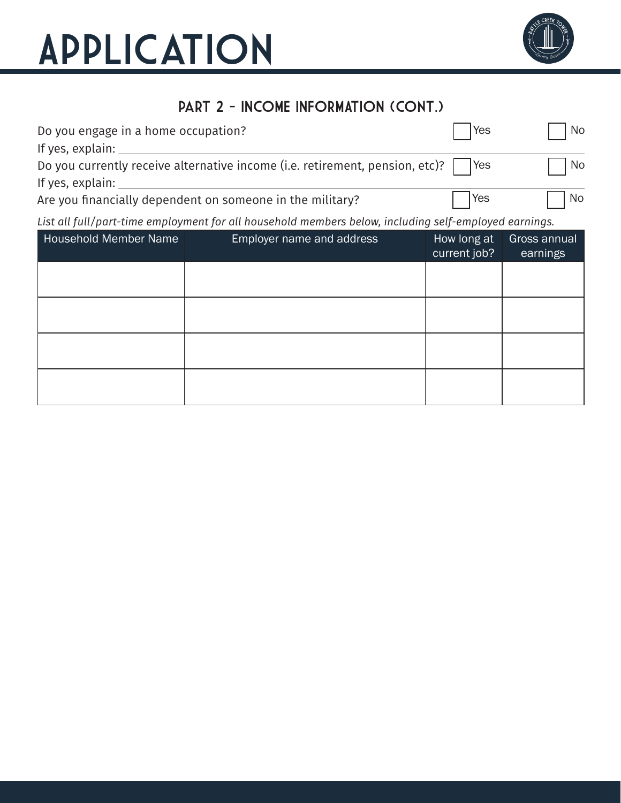

### PART 2 - INCOME INFORMATION (CONT.)

| Do you engage in a home occupation?                                                    | Yes        | No        |
|----------------------------------------------------------------------------------------|------------|-----------|
| If yes, explain:                                                                       |            |           |
| Do you currently receive alternative income (i.e. retirement, pension, etc)?       Yes |            | No        |
| If yes, explain:                                                                       |            |           |
| Are you financially dependent on someone in the military?                              | <b>Yes</b> | <b>No</b> |

#### *List all full/part-time employment for all household members below, including self-employed earnings.*

| <b>Household Member Name</b> | Employer name and address | How long at<br>current job? | Gross annual<br>earnings |
|------------------------------|---------------------------|-----------------------------|--------------------------|
|                              |                           |                             |                          |
|                              |                           |                             |                          |
|                              |                           |                             |                          |
|                              |                           |                             |                          |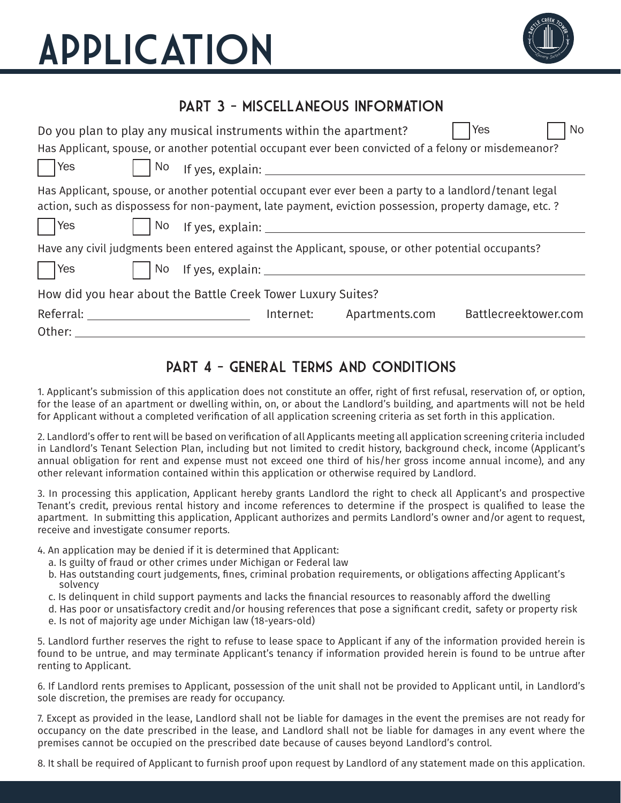

### part 3 - miscellaneous INFORMATION

| Do you plan to play any musical instruments within the apartment?                                                   |    |                                                |           |                                                                                                                                                                                                                               | <b>Yes</b>           | <b>No</b> |
|---------------------------------------------------------------------------------------------------------------------|----|------------------------------------------------|-----------|-------------------------------------------------------------------------------------------------------------------------------------------------------------------------------------------------------------------------------|----------------------|-----------|
|                                                                                                                     |    |                                                |           | Has Applicant, spouse, or another potential occupant ever been convicted of a felony or misdemeanor?                                                                                                                          |                      |           |
| $ $   Yes                                                                                                           | No |                                                |           | If yes, explain: The contract of the contract of the contract of the contract of the contract of the contract of the contract of the contract of the contract of the contract of the contract of the contract of the contract |                      |           |
| $ $ Yes                                                                                                             |    |                                                |           | Has Applicant, spouse, or another potential occupant ever ever been a party to a landlord/tenant legal<br>action, such as dispossess for non-payment, late payment, eviction possession, property damage, etc. ?              |                      |           |
|                                                                                                                     |    |                                                |           | Have any civil judgments been entered against the Applicant, spouse, or other potential occupants?                                                                                                                            |                      |           |
| $ $   Yes                                                                                                           |    | No If yes, explain: __________________________ |           |                                                                                                                                                                                                                               |                      |           |
| How did you hear about the Battle Creek Tower Luxury Suites?                                                        |    |                                                |           |                                                                                                                                                                                                                               |                      |           |
| Referral: National Assembly and Assembly and Assembly and Assembly and Assembly and Assembly and Assembly<br>Other: |    |                                                | Internet: | Apartments.com                                                                                                                                                                                                                | Battlecreektower.com |           |

#### part 4 - general terms and conditions

1. Applicant's submission of this application does not constitute an offer, right of first refusal, reservation of, or option, for the lease of an apartment or dwelling within, on, or about the Landlord's building, and apartments will not be held for Applicant without a completed verification of all application screening criteria as set forth in this application.

2. Landlord's offer to rent will be based on verification of all Applicants meeting all application screening criteria included in Landlord's Tenant Selection Plan, including but not limited to credit history, background check, income (Applicant's annual obligation for rent and expense must not exceed one third of his/her gross income annual income), and any other relevant information contained within this application or otherwise required by Landlord.

3. In processing this application, Applicant hereby grants Landlord the right to check all Applicant's and prospective Tenant's credit, previous rental history and income references to determine if the prospect is qualified to lease the apartment. In submitting this application, Applicant authorizes and permits Landlord's owner and/or agent to request, receive and investigate consumer reports.

4. An application may be denied if it is determined that Applicant:

- a. Is guilty of fraud or other crimes under Michigan or Federal law
- b. Has outstanding court judgements, fines, criminal probation requirements, or obligations affecting Applicant's solvency
- c. Is delinquent in child support payments and lacks the financial resources to reasonably afford the dwelling
- d. Has poor or unsatisfactory credit and/or housing references that pose a significant credit, safety or property risk
- e. Is not of majority age under Michigan law (18-years-old)

5. Landlord further reserves the right to refuse to lease space to Applicant if any of the information provided herein is found to be untrue, and may terminate Applicant's tenancy if information provided herein is found to be untrue after renting to Applicant.

6. If Landlord rents premises to Applicant, possession of the unit shall not be provided to Applicant until, in Landlord's sole discretion, the premises are ready for occupancy.

7. Except as provided in the lease, Landlord shall not be liable for damages in the event the premises are not ready for occupancy on the date prescribed in the lease, and Landlord shall not be liable for damages in any event where the premises cannot be occupied on the prescribed date because of causes beyond Landlord's control.

8. It shall be required of Applicant to furnish proof upon request by Landlord of any statement made on this application.